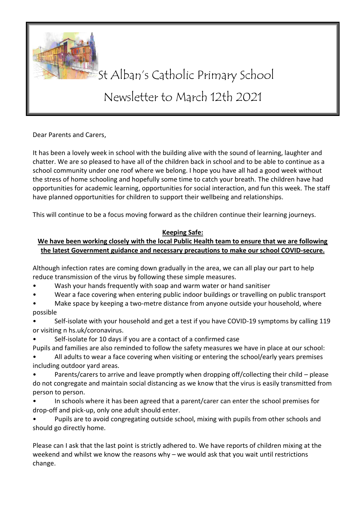

## St Alban's Catholic Primary School

## Newsletter to March 12th 2021

Dear Parents and Carers,

It has been a lovely week in school with the building alive with the sound of learning, laughter and chatter. We are so pleased to have all of the children back in school and to be able to continue as a school community under one roof where we belong. I hope you have all had a good week without the stress of home schooling and hopefully some time to catch your breath. The children have had opportunities for academic learning, opportunities for social interaction, and fun this week. The staff have planned opportunities for children to support their wellbeing and relationships.

This will continue to be a focus moving forward as the children continue their learning journeys.

## **Keeping Safe:**

## **We have been working closely with the local Public Health team to ensure that we are following the latest Government guidance and necessary precautions to make our school COVID-secure.**

Although infection rates are coming down gradually in the area, we can all play our part to help reduce transmission of the virus by following these simple measures.

- Wash your hands frequently with soap and warm water or hand sanitiser
- Wear a face covering when entering public indoor buildings or travelling on public transport
- Make space by keeping a two-metre distance from anyone outside your household, where possible
- Self-isolate with your household and get a test if you have COVID-19 symptoms by calling 119 or visiting n hs.uk/coronavirus.
- Self-isolate for 10 days if you are a contact of a confirmed case
- Pupils and families are also reminded to follow the safety measures we have in place at our school:
- All adults to wear a face covering when visiting or entering the school/early years premises including outdoor yard areas.
- Parents/carers to arrive and leave promptly when dropping off/collecting their child please do not congregate and maintain social distancing as we know that the virus is easily transmitted from person to person.
- In schools where it has been agreed that a parent/carer can enter the school premises for drop-off and pick-up, only one adult should enter.
- Pupils are to avoid congregating outside school, mixing with pupils from other schools and should go directly home.

Please can I ask that the last point is strictly adhered to. We have reports of children mixing at the weekend and whilst we know the reasons why – we would ask that you wait until restrictions change.